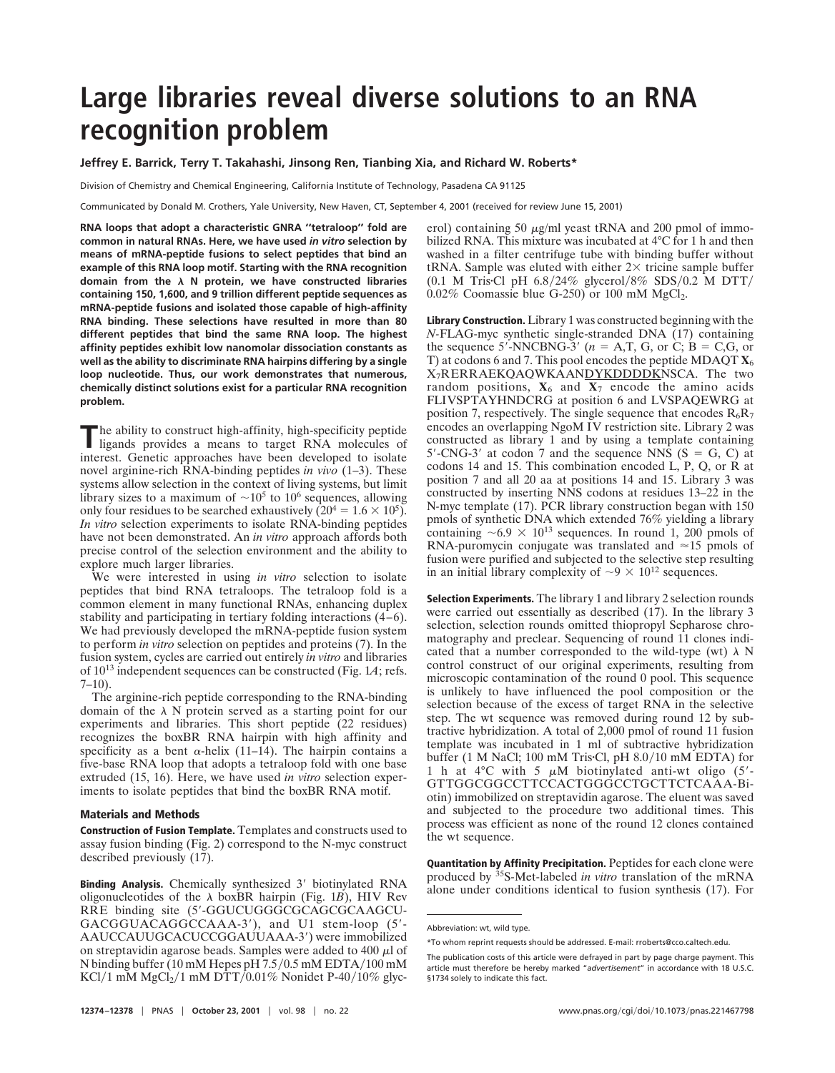## **Large libraries reveal diverse solutions to an RNA recognition problem**

**Jeffrey E. Barrick, Terry T. Takahashi, Jinsong Ren, Tianbing Xia, and Richard W. Roberts\***

Division of Chemistry and Chemical Engineering, California Institute of Technology, Pasadena CA 91125

Communicated by Donald M. Crothers, Yale University, New Haven, CT, September 4, 2001 (received for review June 15, 2001)

**RNA loops that adopt a characteristic GNRA ''tetraloop'' fold are common in natural RNAs. Here, we have used** *in vitro* **selection by means of mRNA-peptide fusions to select peptides that bind an example of this RNA loop motif. Starting with the RNA recognition** domain from the  $\lambda$  N protein, we have constructed libraries **containing 150, 1,600, and 9 trillion different peptide sequences as mRNA-peptide fusions and isolated those capable of high-affinity RNA binding. These selections have resulted in more than 80 different peptides that bind the same RNA loop. The highest affinity peptides exhibit low nanomolar dissociation constants as well as the ability to discriminate RNA hairpins differing by a single loop nucleotide. Thus, our work demonstrates that numerous, chemically distinct solutions exist for a particular RNA recognition problem.**

The ability to construct high-affinity, high-specificity peptide ligands provides a means to target RNA molecules of interest. Genetic approaches have been developed to isolate novel arginine-rich RNA-binding peptides *in vivo* (1–3). These systems allow selection in the context of living systems, but limit library sizes to a maximum of  $\sim 10^5$  to 10<sup>6</sup> sequences, allowing only four residues to be searched exhaustively  $(20^4 = 1.6 \times 10^5)$ . *In vitro* selection experiments to isolate RNA-binding peptides have not been demonstrated. An *in vitro* approach affords both precise control of the selection environment and the ability to explore much larger libraries.

We were interested in using *in vitro* selection to isolate peptides that bind RNA tetraloops. The tetraloop fold is a common element in many functional RNAs, enhancing duplex stability and participating in tertiary folding interactions (4–6). We had previously developed the mRNA-peptide fusion system to perform *in vitro* selection on peptides and proteins (7). In the fusion system, cycles are carried out entirely *in vitro* and libraries of 10<sup>13</sup> independent sequences can be constructed (Fig. 1*A*; refs.  $7-10$ ).

The arginine-rich peptide corresponding to the RNA-binding domain of the  $\lambda$  N protein served as a starting point for our experiments and libraries. This short peptide (22 residues) recognizes the boxBR RNA hairpin with high affinity and specificity as a bent  $\alpha$ -helix (11–14). The hairpin contains a five-base RNA loop that adopts a tetraloop fold with one base extruded (15, 16). Here, we have used *in vitro* selection experiments to isolate peptides that bind the boxBR RNA motif.

## **Materials and Methods**

**Construction of Fusion Template.** Templates and constructs used to assay fusion binding (Fig. 2) correspond to the N-myc construct described previously (17).

**Binding Analysis.** Chemically synthesized 3' biotinylated RNA oligonucleotides of the  $\lambda$  boxBR hairpin (Fig. 1*B*), HIV Rev RRE binding site (5'-GGUCUGGGCGCAGCGCAAGCU-GACGGUACAGGCCAAA-3'), and U1 stem-loop (5'-AAUCCAUUGCACUCCGGAUUAAA-3') were immobilized on streptavidin agarose beads. Samples were added to 400  $\mu$ l of N binding buffer  $(10 \text{ mM Hepes pH } 7.5/0.5 \text{ mM EDTA}/100 \text{ mM}$ KCl/1 mM MgCl<sub>2</sub>/1 mM DTT/0.01% Nonidet P-40/10% glvcerol) containing 50  $\mu$ g/ml yeast tRNA and 200 pmol of immobilized RNA. This mixture was incubated at 4°C for 1 h and then washed in a filter centrifuge tube with binding buffer without tRNA. Sample was eluted with either  $2 \times$  tricine sample buffer (0.1 M Tris Cl pH  $6.8/24\%$  glycerol/8% SDS/0.2 M DTT/  $0.02\%$  Coomassie blue G-250) or 100 mM MgCl<sub>2</sub>.

**Library Construction.** Library 1 was constructed beginning with the *N-*FLAG-myc synthetic single-stranded DNA (17) containing the sequence 5'-NNCBNG-3'  $(n = A, T, G,$  or C;  $B = C, G,$  or T) at codons 6 and 7. This pool encodes the peptide MDAQT **X**<sup>6</sup> X<sub>7</sub>RERRAEKQAQWKAANDYKDDDDKNSCA. The two random positions,  $X_6$  and  $X_7$  encode the amino acids FLIVSPTAYHNDCRG at position 6 and LVSPAQEWRG at position 7, respectively. The single sequence that encodes  $R_6R_7$ encodes an overlapping NgoM IV restriction site. Library 2 was constructed as library 1 and by using a template containing 5'-CNG-3' at codon 7 and the sequence NNS  $(S = G, C)$  at codons 14 and 15. This combination encoded L, P, Q, or R at position 7 and all 20 aa at positions 14 and 15. Library 3 was constructed by inserting NNS codons at residues 13–22 in the N*-*myc template (17). PCR library construction began with 150 pmols of synthetic DNA which extended 76% yielding a library containing  $\sim 6.9 \times 10^{13}$  sequences. In round 1, 200 pmols of RNA-puromycin conjugate was translated and  $\approx$ 15 pmols of fusion were purified and subjected to the selective step resulting in an initial library complexity of  $\sim 9 \times 10^{12}$  sequences.

**Selection Experiments.** The library 1 and library 2 selection rounds were carried out essentially as described (17). In the library 3 selection, selection rounds omitted thiopropyl Sepharose chromatography and preclear. Sequencing of round 11 clones indicated that a number corresponded to the wild-type (wt)  $\lambda$  N control construct of our original experiments, resulting from microscopic contamination of the round 0 pool. This sequence is unlikely to have influenced the pool composition or the selection because of the excess of target RNA in the selective step. The wt sequence was removed during round 12 by subtractive hybridization. A total of 2,000 pmol of round 11 fusion template was incubated in 1 ml of subtractive hybridization buffer (1 M NaCl; 100 mM Tris $\cdot$ Cl, pH 8.0/10 mM EDTA) for 1 h at  $4^{\circ}$ C with 5  $\mu$ M biotinylated anti-wt oligo (5'-GTTGGCGGCCTTCCACTGGGCCTGCTTCTCAAA-Biotin) immobilized on streptavidin agarose. The eluent was saved and subjected to the procedure two additional times. This process was efficient as none of the round 12 clones contained the wt sequence.

**Quantitation by Affinity Precipitation.** Peptides for each clone were produced by 35S-Met-labeled *in vitro* translation of the mRNA alone under conditions identical to fusion synthesis (17). For

Abbreviation: wt, wild type.

<sup>\*</sup>To whom reprint requests should be addressed. E-mail: rroberts@cco.caltech.edu.

The publication costs of this article were defrayed in part by page charge payment. This article must therefore be hereby marked "*advertisement*" in accordance with 18 U.S.C. §1734 solely to indicate this fact.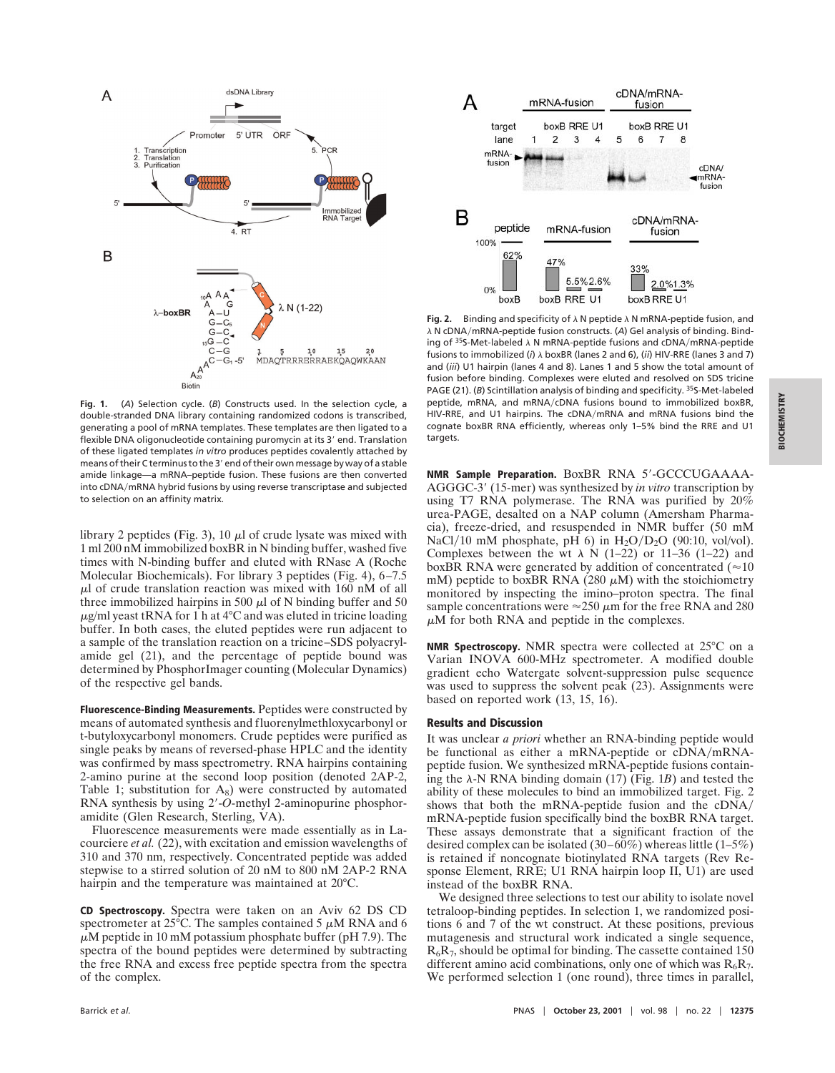

**Fig. 1.** (*A*) Selection cycle. (*B*) Constructs used. In the selection cycle, a double-stranded DNA library containing randomized codons is transcribed, generating a pool of mRNA templates. These templates are then ligated to a flexible DNA oligonucleotide containing puromycin at its 3' end. Translation of these ligated templates *in vitro* produces peptides covalently attached by means of their C terminus to the 3' end of their own message by way of a stable amide linkage—a mRNA–peptide fusion. These fusions are then converted into cDNA/mRNA hybrid fusions by using reverse transcriptase and subjected to selection on an affinity matrix.

library 2 peptides (Fig. 3), 10  $\mu$ l of crude lysate was mixed with 1 ml 200 nM immobilized boxBR in N binding buffer, washed five times with N-binding buffer and eluted with RNase A (Roche Molecular Biochemicals). For library 3 peptides (Fig. 4), 6–7.5  $\mu$ l of crude translation reaction was mixed with 160 nM of all three immobilized hairpins in 500  $\mu$ l of N binding buffer and 50  $\mu$ g/ml yeast tRNA for 1 h at 4°C and was eluted in tricine loading buffer. In both cases, the eluted peptides were run adjacent to a sample of the translation reaction on a tricine–SDS polyacrylamide gel (21), and the percentage of peptide bound was determined by PhosphorImager counting (Molecular Dynamics) of the respective gel bands.

**Fluorescence-Binding Measurements.** Peptides were constructed by means of automated synthesis and fluorenylmethloxycarbonyl or t-butyloxycarbonyl monomers. Crude peptides were purified as single peaks by means of reversed-phase HPLC and the identity was confirmed by mass spectrometry. RNA hairpins containing 2-amino purine at the second loop position (denoted 2AP-2, Table 1; substitution for  $A_8$ ) were constructed by automated RNA synthesis by using 2'-O-methyl 2-aminopurine phosphoramidite (Glen Research, Sterling, VA).

Fluorescence measurements were made essentially as in Lacourciere *et al.* (22), with excitation and emission wavelengths of 310 and 370 nm, respectively. Concentrated peptide was added stepwise to a stirred solution of 20 nM to 800 nM 2AP-2 RNA hairpin and the temperature was maintained at 20°C.

**CD Spectroscopy.** Spectra were taken on an Aviv 62 DS CD spectrometer at  $25^{\circ}$ C. The samples contained 5  $\mu$ M RNA and 6  $\mu$ M peptide in 10 mM potassium phosphate buffer (pH 7.9). The spectra of the bound peptides were determined by subtracting the free RNA and excess free peptide spectra from the spectra of the complex.



**Fig. 2.** Binding and specificity of  $\lambda$  N peptide  $\lambda$  N mRNA-peptide fusion, and  $\lambda$  N cDNA/mRNA-peptide fusion constructs. (A) Gel analysis of binding. Binding of  $35$ S-Met-labeled  $\lambda$  N mRNA-peptide fusions and cDNA/mRNA-peptide fusions to immobilized (*i*)  $\lambda$  boxBR (lanes 2 and 6), (*ii*) HIV-RRE (lanes 3 and 7) and (*iii*) U1 hairpin (lanes 4 and 8). Lanes 1 and 5 show the total amount of fusion before binding. Complexes were eluted and resolved on SDS tricine PAGE (21). (*B*) Scintillation analysis of binding and specificity. 35S-Met-labeled peptide, mRNA, and mRNA/cDNA fusions bound to immobilized boxBR, HIV-RRE, and U1 hairpins. The cDNA/mRNA and mRNA fusions bind the cognate boxBR RNA efficiently, whereas only 1–5% bind the RRE and U1 targets.

**NMR Sample Preparation.** BoxBR RNA 5'-GCCCUGAAAA-AGGGC-3' (15-mer) was synthesized by *in vitro* transcription by using T7 RNA polymerase. The RNA was purified by 20% urea-PAGE, desalted on a NAP column (Amersham Pharmacia), freeze-dried, and resuspended in NMR buffer (50 mM NaCl/10 mM phosphate, pH 6) in  $H_2O/D_2O$  (90:10, vol/vol). Complexes between the wt  $\lambda$  N (1–22) or 11–36 (1–22) and boxBR RNA were generated by addition of concentrated ( $\approx 10$ ) mM) peptide to boxBR RNA (280  $\mu$ M) with the stoichiometry monitored by inspecting the imino–proton spectra. The final sample concentrations were  $\approx$  250  $\mu$ m for the free RNA and 280  $\mu$ M for both RNA and peptide in the complexes.

**NMR Spectroscopy.** NMR spectra were collected at 25°C on a Varian INOVA 600-MHz spectrometer. A modified double gradient echo Watergate solvent-suppression pulse sequence was used to suppress the solvent peak (23). Assignments were based on reported work (13, 15, 16).

## **Results and Discussion**

It was unclear *a priori* whether an RNA-binding peptide would be functional as either a mRNA-peptide or cDNA/mRNApeptide fusion. We synthesized mRNA-peptide fusions containing the  $\lambda$ -N RNA binding domain (17) (Fig. 1*B*) and tested the ability of these molecules to bind an immobilized target. Fig. 2 shows that both the mRNA-peptide fusion and the cDNA/ mRNA-peptide fusion specifically bind the boxBR RNA target. These assays demonstrate that a significant fraction of the desired complex can be isolated (30–60%) whereas little (1–5%) is retained if noncognate biotinylated RNA targets (Rev Response Element, RRE; U1 RNA hairpin loop II, U1) are used instead of the boxBR RNA.

We designed three selections to test our ability to isolate novel tetraloop-binding peptides. In selection 1, we randomized positions 6 and 7 of the wt construct. At these positions, previous mutagenesis and structural work indicated a single sequence,  $R_6R_7$ , should be optimal for binding. The cassette contained 150 different amino acid combinations, only one of which was  $R_6R_7$ . We performed selection 1 (one round), three times in parallel.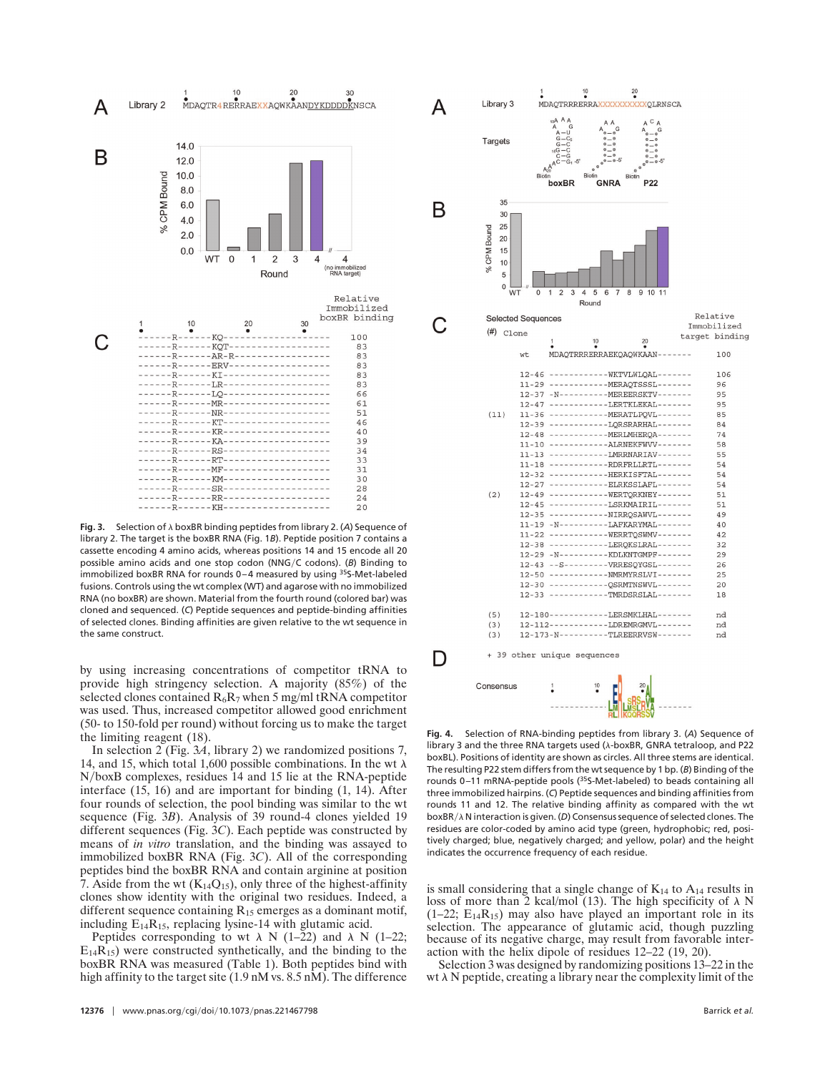

**Fig. 3.** Selection of  $\lambda$  boxBR binding peptides from library 2. (A) Sequence of library 2. The target is the boxBR RNA (Fig. 1*B*). Peptide position 7 contains a cassette encoding 4 amino acids, whereas positions 14 and 15 encode all 20 possible amino acids and one stop codon (NNGyC codons). (*B*) Binding to immobilized boxBR RNA for rounds 0-4 measured by using <sup>35</sup>S-Met-labeled fusions. Controls using the wt complex (WT) and agarose with no immobilized RNA (no boxBR) are shown. Material from the fourth round (colored bar) was cloned and sequenced. (*C*) Peptide sequences and peptide-binding affinities of selected clones. Binding affinities are given relative to the wt sequence in the same construct.

by using increasing concentrations of competitor tRNA to provide high stringency selection. A majority (85%) of the selected clones contained  $R_6R_7$  when 5 mg/ml tRNA competitor was used. Thus, increased competitor allowed good enrichment (50- to 150-fold per round) without forcing us to make the target the limiting reagent (18).

In selection 2 (Fig. 3*A*, library 2) we randomized positions 7, 14, and 15, which total 1,600 possible combinations. In the wt  $\lambda$ NyboxB complexes, residues 14 and 15 lie at the RNA-peptide interface (15, 16) and are important for binding (1, 14). After four rounds of selection, the pool binding was similar to the wt sequence (Fig. 3*B*). Analysis of 39 round-4 clones yielded 19 different sequences (Fig. 3*C*). Each peptide was constructed by means of *in vitro* translation, and the binding was assayed to immobilized boxBR RNA (Fig. 3*C*). All of the corresponding peptides bind the boxBR RNA and contain arginine at position 7. Aside from the wt  $(K_{14}Q_{15})$ , only three of the highest-affinity clones show identity with the original two residues. Indeed, a different sequence containing  $R_{15}$  emerges as a dominant motif, including  $E_{14}R_{15}$ , replacing lysine-14 with glutamic acid.

Peptides corresponding to wt  $\lambda$  N (1–22) and  $\lambda$  N (1–22;  $E_{14}R_{15}$ ) were constructed synthetically, and the binding to the boxBR RNA was measured (Table 1). Both peptides bind with high affinity to the target site (1.9 nM vs. 8.5 nM). The difference



**Fig. 4.** Selection of RNA-binding peptides from library 3. (*A*) Sequence of library 3 and the three RNA targets used (λ-boxBR, GNRA tetraloop, and P22 boxBL). Positions of identity are shown as circles. All three stems are identical. The resulting P22 stem differs from the wt sequence by 1 bp. (*B*) Binding of the rounds 0–11 mRNA-peptide pools (35S-Met-labeled) to beads containing all three immobilized hairpins. (*C*) Peptide sequences and binding affinities from rounds 11 and 12. The relative binding affinity as compared with the wt boxBR/ $\lambda$  N interaction is given. (*D*) Consensus sequence of selected clones. The residues are color-coded by amino acid type (green, hydrophobic; red, positively charged; blue, negatively charged; and yellow, polar) and the height indicates the occurrence frequency of each residue.

is small considering that a single change of  $K_{14}$  to  $A_{14}$  results in loss of more than 2 kcal/mol (13). The high specificity of  $\lambda$  N  $(1-22; E_{14}R_{15})$  may also have played an important role in its selection. The appearance of glutamic acid, though puzzling because of its negative charge, may result from favorable interaction with the helix dipole of residues 12–22 (19, 20).

Selection 3 was designed by randomizing positions 13–22 in the wt  $\lambda$  N peptide, creating a library near the complexity limit of the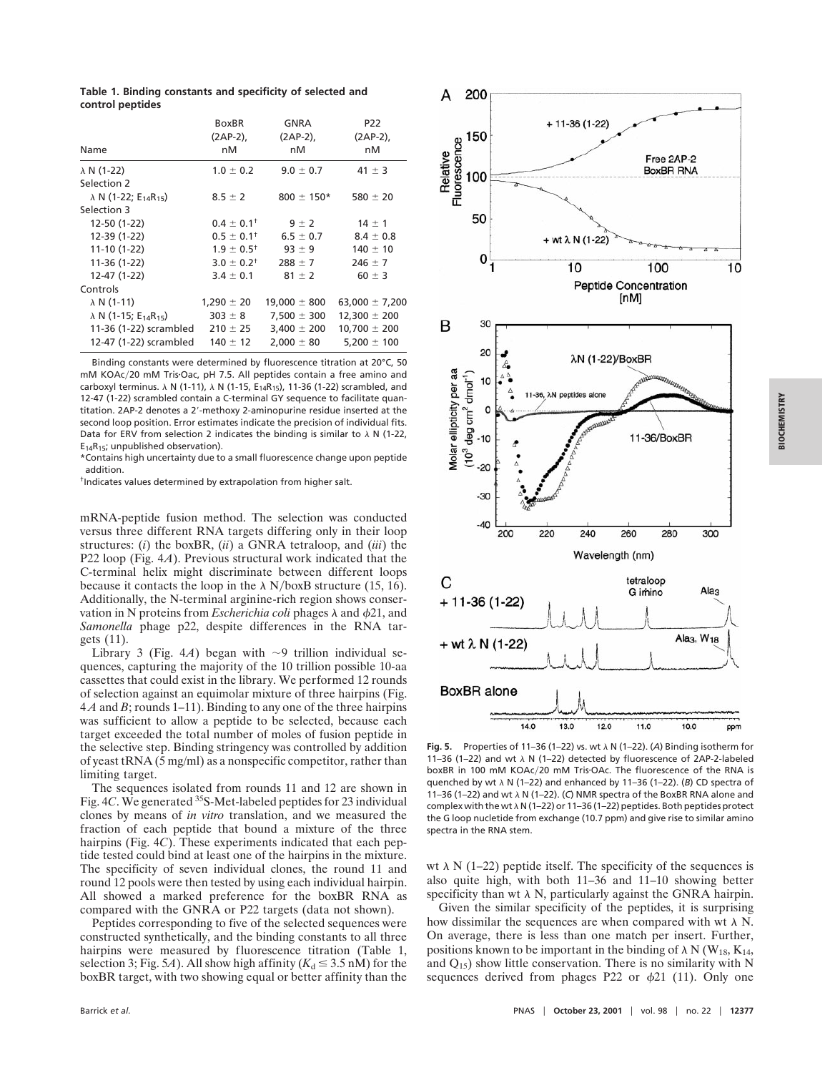**Table 1. Binding constants and specificity of selected and control peptides**

| Name                                                 | <b>BoxBR</b><br>(2AP-2),<br>пM | GNRA<br>$(2AP-2)$ ,<br>nM | P <sub>22</sub><br>$(2AP-2)$ ,<br>nМ |                    |               |               |            |
|------------------------------------------------------|--------------------------------|---------------------------|--------------------------------------|--------------------|---------------|---------------|------------|
|                                                      |                                |                           |                                      | $\lambda$ N (1-22) | $1.0 \pm 0.2$ | $9.0 \pm 0.7$ | 41 $\pm$ 3 |
|                                                      |                                |                           |                                      | Selection 2        |               |               |            |
| $\lambda$ N (1-22; E <sub>14</sub> R <sub>15</sub> ) | $8.5 \pm 2$                    | $800 \pm 150*$            | 580 $\pm$ 20                         |                    |               |               |            |
| Selection 3                                          |                                |                           |                                      |                    |               |               |            |
| 12-50 (1-22)                                         | $0.4 \pm 0.1^+$                | $9 \pm 2$                 | $14 \pm 1$                           |                    |               |               |            |
| 12-39 (1-22)                                         | $0.5 \pm 0.1^+$                | $6.5 \pm 0.7$             | $8.4 \pm 0.8$                        |                    |               |               |            |
| $11-10(1-22)$                                        | $1.9 \pm 0.5^+$                | $93 \pm 9$                | $140 \pm 10$                         |                    |               |               |            |
| 11-36 (1-22)                                         | $3.0 \pm 0.2$ <sup>†</sup>     | $288 \pm 7$               | $246 \pm 7$                          |                    |               |               |            |
| 12-47 (1-22)                                         | $3.4 \pm 0.1$                  | $81 \pm 2$                | $60 \pm 3$                           |                    |               |               |            |
| Controls                                             |                                |                           |                                      |                    |               |               |            |
| $\lambda$ N (1-11)                                   | $1,290 \pm 20$                 | $19,000 \pm 800$          | 63,000 $\pm$ 7,200                   |                    |               |               |            |
| $\lambda$ N (1-15; E <sub>14</sub> R <sub>15</sub> ) | $303 \pm 8$                    | $7,500 \pm 300$           | $12,300 \pm 200$                     |                    |               |               |            |
| 11-36 (1-22) scrambled                               | $210 \pm 25$                   | $3,400 \pm 200$           | $10,700 \pm 200$                     |                    |               |               |            |
| 12-47 (1-22) scrambled                               | $140 \pm 12$                   | $2,000 \pm 80$            | $5,200 \pm 100$                      |                    |               |               |            |

Binding constants were determined by fluorescence titration at 20°C, 50 mM KOAc/20 mM Tris·Oac, pH 7.5. All peptides contain a free amino and carboxyl terminus.  $\lambda$  N (1-11),  $\lambda$  N (1-15, E<sub>14</sub>R<sub>15</sub>), 11-36 (1-22) scrambled, and 12-47 (1-22) scrambled contain a C-terminal GY sequence to facilitate quantitation. 2AP-2 denotes a 2'-methoxy 2-aminopurine residue inserted at the second loop position. Error estimates indicate the precision of individual fits. Data for ERV from selection 2 indicates the binding is similar to  $\lambda$  N (1-22,  $E_{14}R_{15}$ ; unpublished observation).

\*Contains high uncertainty due to a small fluorescence change upon peptide addition.

†Indicates values determined by extrapolation from higher salt.

mRNA-peptide fusion method. The selection was conducted versus three different RNA targets differing only in their loop structures: (*i*) the boxBR, (*ii*) a GNRA tetraloop, and (*iii*) the P22 loop (Fig. 4*A*). Previous structural work indicated that the C-terminal helix might discriminate between different loops because it contacts the loop in the  $\lambda$  N/boxB structure (15, 16). Additionally, the N-terminal arginine-rich region shows conservation in N proteins from *Escherichia coli* phages  $\lambda$  and  $\phi$ 21, and *Samonella* phage p22, despite differences in the RNA targets (11).

Library 3 (Fig. 4*A*) began with  $\sim$ 9 trillion individual sequences, capturing the majority of the 10 trillion possible 10-aa cassettes that could exist in the library. We performed 12 rounds of selection against an equimolar mixture of three hairpins (Fig. 4 *A* and *B*; rounds 1–11). Binding to any one of the three hairpins was sufficient to allow a peptide to be selected, because each target exceeded the total number of moles of fusion peptide in the selective step. Binding stringency was controlled by addition of yeast tRNA  $(5 \text{ mg/ml})$  as a nonspecific competitor, rather than limiting target.

The sequences isolated from rounds 11 and 12 are shown in Fig. 4*C*. We generated 35S-Met-labeled peptides for 23 individual clones by means of *in vitro* translation, and we measured the fraction of each peptide that bound a mixture of the three hairpins (Fig. 4*C*). These experiments indicated that each peptide tested could bind at least one of the hairpins in the mixture. The specificity of seven individual clones, the round 11 and round 12 pools were then tested by using each individual hairpin. All showed a marked preference for the boxBR RNA as compared with the GNRA or P22 targets (data not shown).

Peptides corresponding to five of the selected sequences were constructed synthetically, and the binding constants to all three hairpins were measured by fluorescence titration (Table 1, selection 3; Fig. 5*A*). All show high affinity ( $K_d \leq 3.5$  nM) for the boxBR target, with two showing equal or better affinity than the



Fig. 5. Properties of 11-36 (1-22) vs. wt  $\lambda$  N (1-22). (A) Binding isotherm for 11–36 (1–22) and wt  $\lambda$  N (1–22) detected by fluorescence of 2AP-2-labeled boxBR in 100 mM KOAc/20 mM Tris-OAc. The fluorescence of the RNA is quenched by wt  $\lambda$  N (1-22) and enhanced by 11-36 (1-22). (*B*) CD spectra of 11–36 (1–22) and wt  $\lambda$  N (1–22). (C) NMR spectra of the BoxBR RNA alone and complex with the wt  $\lambda$  N (1-22) or 11-36 (1-22) peptides. Both peptides protect the G loop nucletide from exchange (10.7 ppm) and give rise to similar amino spectra in the RNA stem.

wt  $\lambda$  N (1–22) peptide itself. The specificity of the sequences is also quite high, with both 11–36 and 11–10 showing better specificity than wt  $\lambda$  N, particularly against the GNRA hairpin.

Given the similar specificity of the peptides, it is surprising how dissimilar the sequences are when compared with wt  $\lambda$  N. On average, there is less than one match per insert. Further, positions known to be important in the binding of  $\lambda$  N (W<sub>18</sub>, K<sub>14</sub>, and  $Q_{15}$ ) show little conservation. There is no similarity with N sequences derived from phages P22 or  $\phi$ 21 (11). Only one